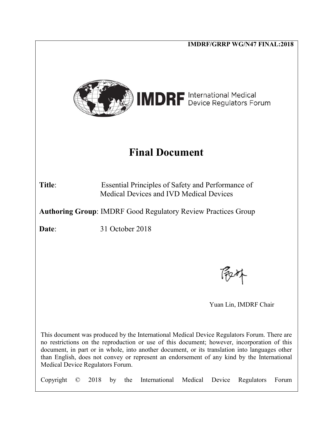|                                                                                                                                                                                                                                                                                                                                                                                                                              |           |      |    |                 |                                                                                                     |         |        | <b>IMDRF/GRRP WG/N47 FINAL:2018</b> |       |
|------------------------------------------------------------------------------------------------------------------------------------------------------------------------------------------------------------------------------------------------------------------------------------------------------------------------------------------------------------------------------------------------------------------------------|-----------|------|----|-----------------|-----------------------------------------------------------------------------------------------------|---------|--------|-------------------------------------|-------|
|                                                                                                                                                                                                                                                                                                                                                                                                                              |           |      |    |                 | <b>IMDRF</b> International Medical                                                                  |         |        |                                     |       |
|                                                                                                                                                                                                                                                                                                                                                                                                                              |           |      |    |                 | <b>Final Document</b>                                                                               |         |        |                                     |       |
| Title:                                                                                                                                                                                                                                                                                                                                                                                                                       |           |      |    |                 | Essential Principles of Safety and Performance of<br><b>Medical Devices and IVD Medical Devices</b> |         |        |                                     |       |
|                                                                                                                                                                                                                                                                                                                                                                                                                              |           |      |    |                 | <b>Authoring Group: IMDRF Good Regulatory Review Practices Group</b>                                |         |        |                                     |       |
| Date:                                                                                                                                                                                                                                                                                                                                                                                                                        |           |      |    | 31 October 2018 |                                                                                                     |         |        |                                     |       |
|                                                                                                                                                                                                                                                                                                                                                                                                                              |           |      |    |                 |                                                                                                     |         |        |                                     |       |
|                                                                                                                                                                                                                                                                                                                                                                                                                              |           |      |    |                 |                                                                                                     |         |        |                                     |       |
|                                                                                                                                                                                                                                                                                                                                                                                                                              |           |      |    |                 |                                                                                                     |         |        | Yuan Lin, IMDRF Chair               |       |
| This document was produced by the International Medical Device Regulators Forum. There are<br>no restrictions on the reproduction or use of this document; however, incorporation of this<br>document, in part or in whole, into another document, or its translation into languages other<br>than English, does not convey or represent an endorsement of any kind by the International<br>Medical Device Regulators Forum. |           |      |    |                 |                                                                                                     |         |        |                                     |       |
| Copyright                                                                                                                                                                                                                                                                                                                                                                                                                    | $\rm (C)$ | 2018 | by | the             | International                                                                                       | Medical | Device | Regulators                          | Forum |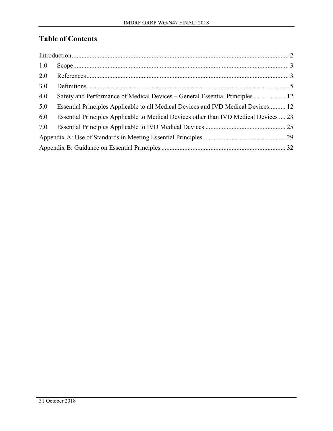# **Table of Contents**

| 1.0 |                                                                                       |  |  |  |
|-----|---------------------------------------------------------------------------------------|--|--|--|
| 2.0 |                                                                                       |  |  |  |
| 3.0 |                                                                                       |  |  |  |
| 4.0 |                                                                                       |  |  |  |
| 5.0 | Essential Principles Applicable to all Medical Devices and IVD Medical Devices 12     |  |  |  |
| 6.0 | Essential Principles Applicable to Medical Devices other than IVD Medical Devices  23 |  |  |  |
| 7.0 |                                                                                       |  |  |  |
|     |                                                                                       |  |  |  |
|     |                                                                                       |  |  |  |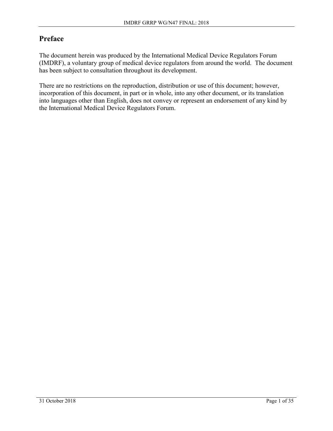# **Preface**

The document herein was produced by the International Medical Device Regulators Forum (IMDRF), a voluntary group of medical device regulators from around the world. The document has been subject to consultation throughout its development.

There are no restrictions on the reproduction, distribution or use of this document; however, incorporation of this document, in part or in whole, into any other document, or its translation into languages other than English, does not convey or represent an endorsement of any kind by the International Medical Device Regulators Forum.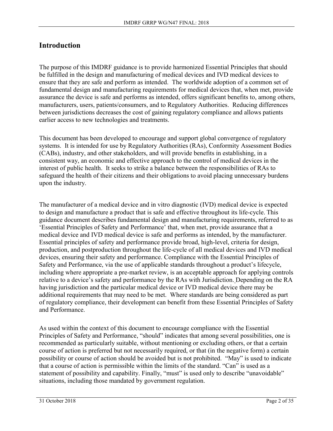## **Introduction**

The purpose of this IMDRF guidance is to provide harmonized Essential Principles that should be fulfilled in the design and manufacturing of medical devices and IVD medical devices to ensure that they are safe and perform as intended. The worldwide adoption of a common set of fundamental design and manufacturing requirements for medical devices that, when met, provide assurance the device is safe and performs as intended, offers significant benefits to, among others, manufacturers, users, patients/consumers, and to Regulatory Authorities. Reducing differences between jurisdictions decreases the cost of gaining regulatory compliance and allows patients earlier access to new technologies and treatments.

This document has been developed to encourage and support global convergence of regulatory systems. It is intended for use by Regulatory Authorities (RAs), Conformity Assessment Bodies (CABs), industry, and other stakeholders, and will provide benefits in establishing, in a consistent way, an economic and effective approach to the control of medical devices in the interest of public health. It seeks to strike a balance between the responsibilities of RAs to safeguard the health of their citizens and their obligations to avoid placing unnecessary burdens upon the industry.

The manufacturer of a medical device and in vitro diagnostic (IVD) medical device is expected to design and manufacture a product that is safe and effective throughout its life-cycle. This guidance document describes fundamental design and manufacturing requirements, referred to as 'Essential Principles of Safety and Performance' that, when met, provide assurance that a medical device and IVD medical device is safe and performs as intended, by the manufacturer. Essential principles of safety and performance provide broad, high-level, criteria for design, production, and postproduction throughout the life-cycle of all medical devices and IVD medical devices, ensuring their safety and performance. Compliance with the Essential Principles of Safety and Performance, via the use of applicable standards throughout a product's lifecycle, including where appropriate a pre-market review, is an acceptable approach for applying controls relative to a device's safety and performance by the RAs with Jurisdiction. Depending on the RA having jurisdiction and the particular medical device or IVD medical device there may be additional requirements that may need to be met. Where standards are being considered as part of regulatory compliance, their development can benefit from these Essential Principles of Safety and Performance.

As used within the context of this document to encourage compliance with the Essential Principles of Safety and Performance, "should" indicates that among several possibilities, one is recommended as particularly suitable, without mentioning or excluding others, or that a certain course of action is preferred but not necessarily required, or that (in the negative form) a certain possibility or course of action should be avoided but is not prohibited. "May" is used to indicate that a course of action is permissible within the limits of the standard. "Can" is used as a statement of possibility and capability. Finally, "must" is used only to describe "unavoidable" situations, including those mandated by government regulation.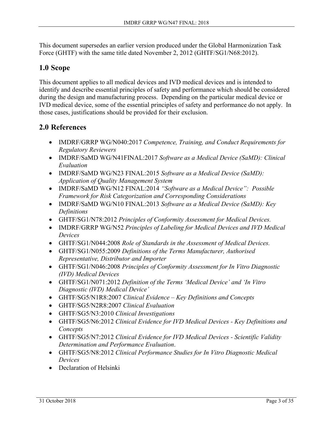This document supersedes an earlier version produced under the Global Harmonization Task Force (GHTF) with the same title dated November 2, 2012 (GHTF/SG1/N68:2012).

## **1.0 Scope**

This document applies to all medical devices and IVD medical devices and is intended to identify and describe essential principles of safety and performance which should be considered during the design and manufacturing process. Depending on the particular medical device or IVD medical device, some of the essential principles of safety and performance do not apply. In those cases, justifications should be provided for their exclusion.

## **2.0 References**

- IMDRF/GRRP WG/N040:2017 *Competence, Training, and Conduct Requirements for Regulatory Reviewers*
- IMDRF/SaMD WG/N41FINAL:2017 *Software as a Medical Device (SaMD): Clinical Evaluation*
- IMDRF/SaMD WG/N23 FINAL:2015 *Software as a Medical Device (SaMD): Application of Quality Management System*
- IMDRF/SaMD WG/N12 FINAL:2014 *"Software as a Medical Device": Possible Framework for Risk Categorization and Corresponding Considerations*
- IMDRF/SaMD WG/N10 FINAL:2013 *Software as a Medical Device (SaMD): Key Definitions*
- GHTF/SG1/N78:2012 *Principles of Conformity Assessment for Medical Devices.*
- IMDRF/GRRP WG/N52 *Principles of Labeling for Medical Devices and IVD Medical Devices*
- GHTF/SG1/N044:2008 *Role of Standards in the Assessment of Medical Devices.*
- GHTF/SG1/N055:2009 *Definitions of the Terms Manufacturer, Authorised Representative, Distributor and Importer*
- GHTF/SG1/N046:2008 *Principles of Conformity Assessment for In Vitro Diagnostic (IVD) Medical Devices*
- GHTF/SG1/N071:2012 *Definition of the Terms 'Medical Device' and 'In Vitro Diagnostic (IVD) Medical Device'*
- GHTF/SG5/N1R8:2007 *Clinical Evidence – Key Definitions and Concepts*
- GHTF/SG5/N2R8:2007 *Clinical Evaluation*
- GHTF/SG5/N3:2010 *Clinical Investigations*
- GHTF/SG5/N6:2012 *Clinical Evidence for IVD Medical Devices Key Definitions and Concepts*
- GHTF/SG5/N7:2012 *Clinical Evidence for IVD Medical Devices Scientific Validity Determination and Performance Evaluation*.
- GHTF/SG5/N8:2012 *Clinical Performance Studies for In Vitro Diagnostic Medical Devices*
- Declaration of Helsinki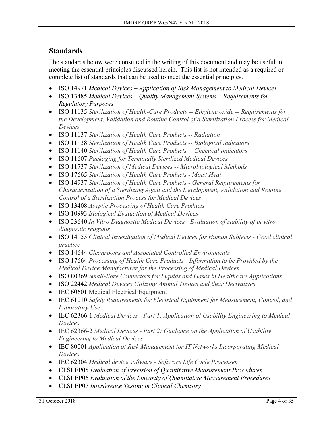# **Standards**

The standards below were consulted in the writing of this document and may be useful in meeting the essential principles discussed herein. This list is not intended as a required or complete list of standards that can be used to meet the essential principles.

- ISO 14971 *Medical Devices – Application of Risk Management to Medical Devices*
- ISO 13485 *Medical Devices – Quality Management Systems – Requirements for Regulatory Purposes*
- ISO 11135 *Sterilization of Health-Care Products -- Ethylene oxide -- Requirements for the Development, Validation and Routine Control of a Sterilization Process for Medical Devices*
- ISO 11137 *Sterilization of Health Care Products -- Radiation*
- ISO 11138 *Sterilization of Health Care Products -- Biological indicators*
- ISO 11140 *Sterilization of Health Care Products -- Chemical indicators*
- ISO 11607 *Packaging for Terminally Sterilized Medical Devices*
- ISO 11737 *Sterilization of Medical Devices -- Microbiological Methods*
- ISO 17665 *Sterilization of Health Care Products - Moist Heat*
- ISO 14937 *Sterilization of Health Care Products - General Requirements for Characterization of a Sterilizing Agent and the Development, Validation and Routine Control of a Sterilization Process for Medical Devices*
- ISO 13408 *Aseptic Processing of Health Care Products*
- ISO 10993 *Biological Evaluation of Medical Devices*
- ISO 23640 *In Vitro Diagnostic Medical Devices Evaluation of stability of in vitro diagnostic reagents*
- ISO 14155 *Clinical Investigation of Medical Devices for Human Subjects Good clinical practice*
- ISO 14644 *Cleanrooms and Associated Controlled Environments*
- ISO 17664 *Processing of Health Care Products - Information to be Provided by the Medical Device Manufacturer for the Processing of Medical Devices*
- ISO 80369 *Small-Bore Connectors for Liquids and Gases in Healthcare Applications*
- ISO 22442 *Medical Devices Utilizing Animal Tissues and their Derivatives*
- IEC 60601 Medical Electrical Equipment
- IEC 61010 *Safety Requirements for Electrical Equipment for Measurement, Control, and Laboratory Use*
- IEC 62366-1 *Medical Devices Part 1: Application of Usability Engineering to Medical Devices*
- IEC 62366-2 *Medical Devices Part 2: Guidance on the Application of Usability Engineering to Medical Devices*
- IEC 80001 *Application of Risk Management for IT Networks Incorporating Medical Devices*
- IEC 62304 *Medical device software Software Life Cycle Processes*
- CLSI EP05 *Evaluation of Precision of Quantitative Measurement Procedures*
- CLSI EP06 *Evaluation of the Linearity of Quantitative Measurement Procedures*
- CLSI EP07 *Interference Testing in Clinical Chemistry*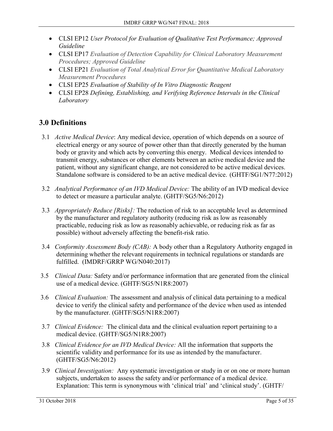- CLSI EP12 *User Protocol for Evaluation of Qualitative Test Performance; Approved Guideline*
- CLSI EP17 *Evaluation of Detection Capability for Clinical Laboratory Measurement Procedures; Approved Guideline*
- CLSI EP21 *Evaluation of Total Analytical Error for Quantitative Medical Laboratory Measurement Procedures*
- CLSI EP25 *Evaluation of Stability of In Vitro Diagnostic Reagent*
- CLSI EP28 *Defining, Establishing, and Verifying Reference Intervals in the Clinical Laboratory*

# **3.0 Definitions**

- 3.1 *Active Medical Device*: Any medical device, operation of which depends on a source of electrical energy or any source of power other than that directly generated by the human body or gravity and which acts by converting this energy. Medical devices intended to transmit energy, substances or other elements between an active medical device and the patient, without any significant change, are not considered to be active medical devices. Standalone software is considered to be an active medical device.(GHTF/SG1/N77:2012)
- 3.2 *Analytical Performance of an IVD Medical Device:* The ability of an IVD medical device to detect or measure a particular analyte. (GHTF/SG5/N6:2012)
- 3.3 *Appropriately Reduce [Risks]:* The reduction of risk to an acceptable level as determined by the manufacturer and regulatory authority (reducing risk as low as reasonably practicable, reducing risk as low as reasonably achievable, or reducing risk as far as possible) without adversely affecting the benefit-risk ratio.
- 3.4 *Conformity Assessment Body (CAB):* A body other than a Regulatory Authority engaged in determining whether the relevant requirements in technical regulations or standards are fulfilled. (IMDRF/GRRP WG/N040:2017)
- 3.5 *Clinical Data:* Safety and/or performance information that are generated from the clinical use of a medical device. (GHTF/SG5/N1R8:2007)
- 3.6 *Clinical Evaluation:* The assessment and analysis of clinical data pertaining to a medical device to verify the clinical safety and performance of the device when used as intended by the manufacturer. (GHTF/SG5/N1R8:2007)
- 3.7 *Clinical Evidence:* The clinical data and the clinical evaluation report pertaining to a medical device. (GHTF/SG5/N1R8:2007)
- 3.8 *Clinical Evidence for an IVD Medical Device:* All the information that supports the scientific validity and performance for its use as intended by the manufacturer. (GHTF/SG5/N6:2012)
- 3.9 *Clinical Investigation:* Any systematic investigation or study in or on one or more human subjects, undertaken to assess the safety and/or performance of a medical device. Explanation: This term is synonymous with 'clinical trial' and 'clinical study'. (GHTF/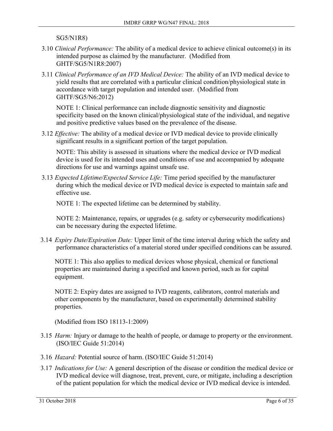SG5/N1R8)

- 3.10 *Clinical Performance:* The ability of a medical device to achieve clinical outcome(s) in its intended purpose as claimed by the manufacturer. (Modified from GHTF/SG5/N1R8:2007)
- 3.11 *Clinical Performance of an IVD Medical Device:* The ability of an IVD medical device to yield results that are correlated with a particular clinical condition/physiological state in accordance with target population and intended user. (Modified from GHTF/SG5/N6:2012)

NOTE 1: Clinical performance can include diagnostic sensitivity and diagnostic specificity based on the known clinical/physiological state of the individual, and negative and positive predictive values based on the prevalence of the disease.

3.12 *Effective:* The ability of a medical device or IVD medical device to provide clinically significant results in a significant portion of the target population.

NOTE: This ability is assessed in situations where the medical device or IVD medical device is used for its intended uses and conditions of use and accompanied by adequate directions for use and warnings against unsafe use.

3.13 *Expected Lifetime/Expected Service Life:* Time period specified by the manufacturer during which the medical device or IVD medical device is expected to maintain safe and effective use.

NOTE 1: The expected lifetime can be determined by stability.

NOTE 2: Maintenance, repairs, or upgrades (e.g. safety or cybersecurity modifications) can be necessary during the expected lifetime.

3.14 *Expiry Date/Expiration Date:* Upper limit of the time interval during which the safety and performance characteristics of a material stored under specified conditions can be assured.

NOTE 1: This also applies to medical devices whose physical, chemical or functional properties are maintained during a specified and known period, such as for capital equipment.

NOTE 2: Expiry dates are assigned to IVD reagents, calibrators, control materials and other components by the manufacturer, based on experimentally determined stability properties.

(Modified from ISO 18113-1:2009)

- 3.15 *Harm:* Injury or damage to the health of people, or damage to property or the environment. (ISO/IEC Guide 51:2014)
- 3.16 *Hazard:* Potential source of harm. (ISO/IEC Guide 51:2014)
- 3.17 *Indications for Use:* A general description of the disease or condition the medical device or IVD medical device will diagnose, treat, prevent, cure, or mitigate, including a description of the patient population for which the medical device or IVD medical device is intended.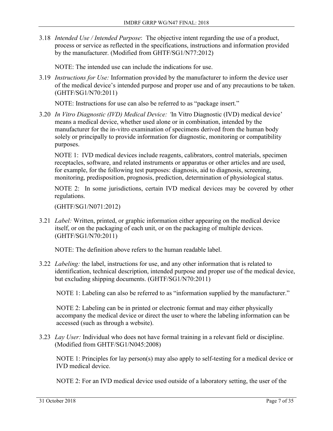3.18 *Intended Use / Intended Purpose*: The objective intent regarding the use of a product, process or service as reflected in the specifications, instructions and information provided by the manufacturer. (Modified from GHTF/SG1/N77:2012)

NOTE: The intended use can include the indications for use.

3.19 *Instructions for Use:* Information provided by the manufacturer to inform the device user of the medical device's intended purpose and proper use and of any precautions to be taken. (GHTF/SG1/N70:2011)

NOTE: Instructions for use can also be referred to as "package insert."

3.20 *In Vitro Diagnostic (IVD) Medical Device: '*In Vitro Diagnostic (IVD) medical device' means a medical device, whether used alone or in combination, intended by the manufacturer for the in-vitro examination of specimens derived from the human body solely or principally to provide information for diagnostic, monitoring or compatibility purposes.

NOTE 1: IVD medical devices include reagents, calibrators, control materials, specimen receptacles, software, and related instruments or apparatus or other articles and are used, for example, for the following test purposes: diagnosis, aid to diagnosis, screening, monitoring, predisposition, prognosis, prediction, determination of physiological status.

NOTE 2: In some jurisdictions, certain IVD medical devices may be covered by other regulations.

(GHTF/SG1/N071:2012)

3.21 *Label:* Written, printed, or graphic information either appearing on the medical device itself, or on the packaging of each unit, or on the packaging of multiple devices. (GHTF/SG1/N70:2011)

NOTE: The definition above refers to the human readable label.

3.22 *Labeling:* the label, instructions for use, and any other information that is related to identification, technical description, intended purpose and proper use of the medical device, but excluding shipping documents. (GHTF/SG1/N70:2011)

NOTE 1: Labeling can also be referred to as "information supplied by the manufacturer."

NOTE 2: Labeling can be in printed or electronic format and may either physically accompany the medical device or direct the user to where the labeling information can be accessed (such as through a website).

3.23 *Lay User:* Individual who does not have formal training in a relevant field or discipline. (Modified from GHTF/SG1/N045:2008)

NOTE 1: Principles for lay person(s) may also apply to self-testing for a medical device or IVD medical device.

NOTE 2: For an IVD medical device used outside of a laboratory setting, the user of the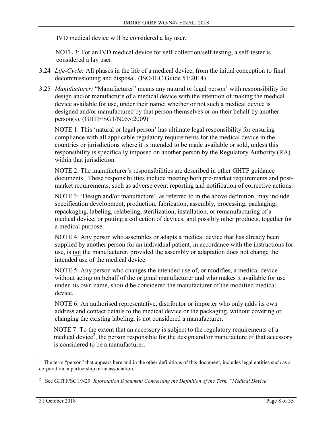IVD medical device will be considered a lay user.

 NOTE 3: For an IVD medical device for self-collection/self-testing, a self-tester is considered a lay user.

- 3.24 *Life-Cycle:* All phases in the life of a medical device, from the initial conception to final decommissioning and disposal. (ISO/IEC Guide 51:2014)
- 3.25 *Manufacturer:* "Manufacturer" means any natural or legal person<sup>1</sup> with responsibility for design and/or manufacture of a medical device with the intention of making the medical device available for use, under their name; whether or not such a medical device is designed and/or manufactured by that person themselves or on their behalf by another person(s). (GHTF/SG1/N055:2009)

NOTE 1: This 'natural or legal person' has ultimate legal responsibility for ensuring compliance with all applicable regulatory requirements for the medical device in the countries or jurisdictions where it is intended to be made available or sold, unless this responsibility is specifically imposed on another person by the Regulatory Authority (RA) within that jurisdiction.

NOTE 2: The manufacturer's responsibilities are described in other GHTF guidance documents. These responsibilities include meeting both pre-market requirements and postmarket requirements, such as adverse event reporting and notification of corrective actions.

NOTE 3: 'Design and/or manufacture', as referred to in the above definition, may include specification development, production, fabrication, assembly, processing, packaging, repackaging, labeling, relabeling, sterilization, installation, or remanufacturing of a medical device; or putting a collection of devices, and possibly other products, together for a medical purpose.

NOTE 4: Any person who assembles or adapts a medical device that has already been supplied by another person for an individual patient, in accordance with the instructions for use, is not the manufacturer, provided the assembly or adaptation does not change the intended use of the medical device.

NOTE 5: Any person who changes the intended use of, or modifies, a medical device without acting on behalf of the original manufacturer and who makes it available for use under his own name, should be considered the manufacturer of the modified medical device.

NOTE 6: An authorised representative, distributor or importer who only adds its own address and contact details to the medical device or the packaging, without covering or changing the existing labeling, is not considered a manufacturer.

NOTE 7: To the extent that an accessory is subject to the regulatory requirements of a medical device<sup>2</sup>, the person responsible for the design and/or manufacture of that accessory is considered to be a manufacturer.

 $\overline{a}$ 1 The term "person" that appears here and in the other definitions of this document, includes legal entities such as a corporation, a partnership or an association.

<sup>2</sup> See GHTF/SG1/N29 *Information Document Concerning the Definition of the Term "Medical Device"*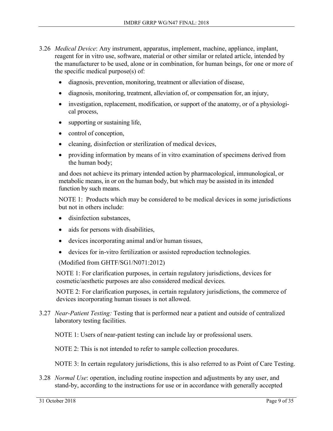- 3.26 *Medical Device*: Any instrument, apparatus, implement, machine, appliance, implant, reagent for in vitro use, software, material or other similar or related article, intended by the manufacturer to be used, alone or in combination, for human beings, for one or more of the specific medical purpose(s) of:
	- diagnosis, prevention, monitoring, treatment or alleviation of disease,
	- diagnosis, monitoring, treatment, alleviation of, or compensation for, an injury,
	- investigation, replacement, modification, or support of the anatomy, or of a physiological process,
	- supporting or sustaining life,
	- control of conception,
	- cleaning, disinfection or sterilization of medical devices,
	- providing information by means of in vitro examination of specimens derived from the human body;

and does not achieve its primary intended action by pharmacological, immunological, or metabolic means, in or on the human body, but which may be assisted in its intended function by such means.

NOTE 1: Products which may be considered to be medical devices in some jurisdictions but not in others include:

- disinfection substances,
- aids for persons with disabilities,
- devices incorporating animal and/or human tissues,
- devices for in-vitro fertilization or assisted reproduction technologies.

(Modified from GHTF/SG1/N071:2012)

 NOTE 1: For clarification purposes, in certain regulatory jurisdictions, devices for cosmetic/aesthetic purposes are also considered medical devices.

 NOTE 2: For clarification purposes, in certain regulatory jurisdictions, the commerce of devices incorporating human tissues is not allowed.

3.27 *Near-Patient Testing:* Testing that is performed near a patient and outside of centralized laboratory testing facilities.

NOTE 1: Users of near-patient testing can include lay or professional users.

NOTE 2: This is not intended to refer to sample collection procedures.

NOTE 3: In certain regulatory jurisdictions, this is also referred to as Point of Care Testing.

3.28 *Normal Use*: operation, including routine inspection and adjustments by any user, and stand-by, according to the instructions for use or in accordance with generally accepted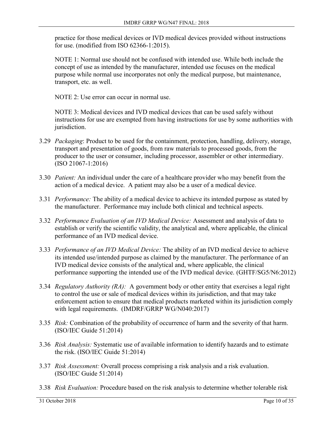practice for those medical devices or IVD medical devices provided without instructions for use. (modified from ISO 62366-1:2015).

NOTE 1: Normal use should not be confused with intended use. While both include the concept of use as intended by the manufacturer, intended use focuses on the medical purpose while normal use incorporates not only the medical purpose, but maintenance, transport, etc. as well.

NOTE 2: Use error can occur in normal use.

NOTE 3: Medical devices and IVD medical devices that can be used safely without instructions for use are exempted from having instructions for use by some authorities with jurisdiction.

- 3.29 *Packaging*: Product to be used for the containment, protection, handling, delivery, storage, transport and presentation of goods, from raw materials to processed goods, from the producer to the user or consumer, including processor, assembler or other intermediary. (ISO 21067-1:2016)
- 3.30 *Patient:* An individual under the care of a healthcare provider who may benefit from the action of a medical device. A patient may also be a user of a medical device.
- 3.31 *Performance:* The ability of a medical device to achieve its intended purpose as stated by the manufacturer. Performance may include both clinical and technical aspects.
- 3.32 *Performance Evaluation of an IVD Medical Device:* Assessment and analysis of data to establish or verify the scientific validity, the analytical and, where applicable, the clinical performance of an IVD medical device.
- 3.33 *Performance of an IVD Medical Device:* The ability of an IVD medical device to achieve its intended use/intended purpose as claimed by the manufacturer. The performance of an IVD medical device consists of the analytical and, where applicable, the clinical performance supporting the intended use of the IVD medical device. (GHTF/SG5/N6:2012)
- 3.34 *Regulatory Authority (RA):* A government body or other entity that exercises a legal right to control the use or sale of medical devices within its jurisdiction, and that may take enforcement action to ensure that medical products marketed within its jurisdiction comply with legal requirements. (IMDRF/GRRP WG/N040:2017)
- 3.35 *Risk:* Combination of the probability of occurrence of harm and the severity of that harm. (ISO/IEC Guide 51:2014)
- 3.36 *Risk Analysis:* Systematic use of available information to identify hazards and to estimate the risk. (ISO/IEC Guide 51:2014)
- 3.37 *Risk Assessment:* Overall process comprising a risk analysis and a risk evaluation. (ISO/IEC Guide 51:2014)
- 3.38 *Risk Evaluation:* Procedure based on the risk analysis to determine whether tolerable risk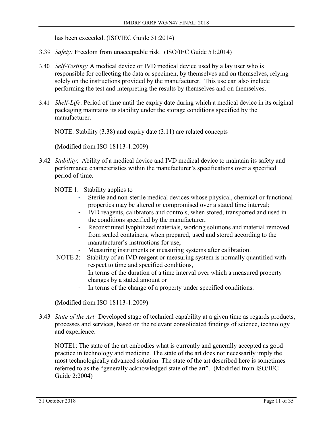has been exceeded. (ISO/IEC Guide 51:2014)

- 3.39 *Safety:* Freedom from unacceptable risk. (ISO/IEC Guide 51:2014)
- 3.40 *Self-Testing:* A medical device or IVD medical device used by a lay user who is responsible for collecting the data or specimen, by themselves and on themselves, relying solely on the instructions provided by the manufacturer. This use can also include performing the test and interpreting the results by themselves and on themselves.
- 3.41 *Shelf-Life*: Period of time until the expiry date during which a medical device in its original packaging maintains its stability under the storage conditions specified by the manufacturer.

NOTE: Stability (3.38) and expiry date (3.11) are related concepts

(Modified from ISO 18113-1:2009)

3.42 *Stability*: Ability of a medical device and IVD medical device to maintain its safety and performance characteristics within the manufacturer's specifications over a specified period of time.

NOTE 1: Stability applies to

- Sterile and non-sterile medical devices whose physical, chemical or functional properties may be altered or compromised over a stated time interval;
- IVD reagents, calibrators and controls, when stored, transported and used in the conditions specified by the manufacturer,
- Reconstituted lyophilized materials, working solutions and material removed from sealed containers, when prepared, used and stored according to the manufacturer's instructions for use,
- Measuring instruments or measuring systems after calibration.
- NOTE 2: Stability of an IVD reagent or measuring system is normally quantified with respect to time and specified conditions,
	- In terms of the duration of a time interval over which a measured property changes by a stated amount or
	- In terms of the change of a property under specified conditions.

(Modified from ISO 18113-1:2009)

3.43 *State of the Art:* Developed stage of technical capability at a given time as regards products, processes and services, based on the relevant consolidated findings of science, technology and experience.

NOTE1: The state of the art embodies what is currently and generally accepted as good practice in technology and medicine. The state of the art does not necessarily imply the most technologically advanced solution. The state of the art described here is sometimes referred to as the "generally acknowledged state of the art". (Modified from ISO/IEC Guide 2:2004)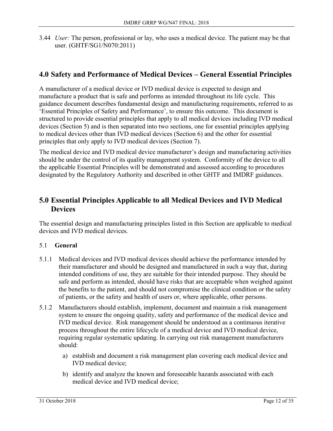3.44 *User:* The person, professional or lay, who uses a medical device. The patient may be that user. (GHTF/SG1/N070:2011)

# **4.0 Safety and Performance of Medical Devices – General Essential Principles**

A manufacturer of a medical device or IVD medical device is expected to design and manufacture a product that is safe and performs as intended throughout its life cycle. This guidance document describes fundamental design and manufacturing requirements, referred to as 'Essential Principles of Safety and Performance', to ensure this outcome. This document is structured to provide essential principles that apply to all medical devices including IVD medical devices (Section 5) and is then separated into two sections, one for essential principles applying to medical devices other than IVD medical devices (Section 6) and the other for essential principles that only apply to IVD medical devices (Section 7).

The medical device and IVD medical device manufacturer's design and manufacturing activities should be under the control of its quality management system. Conformity of the device to all the applicable Essential Principles will be demonstrated and assessed according to procedures designated by the Regulatory Authority and described in other GHTF and IMDRF guidances.

## **5.0 Essential Principles Applicable to all Medical Devices and IVD Medical Devices**

The essential design and manufacturing principles listed in this Section are applicable to medical devices and IVD medical devices.

## 5.1 **General**

- 5.1.1 Medical devices and IVD medical devices should achieve the performance intended by their manufacturer and should be designed and manufactured in such a way that, during intended conditions of use, they are suitable for their intended purpose. They should be safe and perform as intended, should have risks that are acceptable when weighed against the benefits to the patient, and should not compromise the clinical condition or the safety of patients, or the safety and health of users or, where applicable, other persons.
- 5.1.2 Manufacturers should establish, implement, document and maintain a risk management system to ensure the ongoing quality, safety and performance of the medical device and IVD medical device. Risk management should be understood as a continuous iterative process throughout the entire lifecycle of a medical device and IVD medical device, requiring regular systematic updating. In carrying out risk management manufacturers should:
	- a) establish and document a risk management plan covering each medical device and IVD medical device;
	- b) identify and analyze the known and foreseeable hazards associated with each medical device and IVD medical device;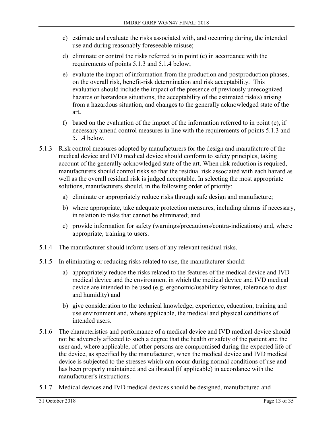- c) estimate and evaluate the risks associated with, and occurring during, the intended use and during reasonably foreseeable misuse;
- d) eliminate or control the risks referred to in point (c) in accordance with the requirements of points 5.1.3 and 5.1.4 below;
- e) evaluate the impact of information from the production and postproduction phases, on the overall risk, benefit-risk determination and risk acceptability. This evaluation should include the impact of the presence of previously unrecognized hazards or hazardous situations, the acceptability of the estimated risk(s) arising from a hazardous situation, and changes to the generally acknowledged state of the art**.**
- f) based on the evaluation of the impact of the information referred to in point (e), if necessary amend control measures in line with the requirements of points 5.1.3 and 5.1.4 below.
- 5.1.3 Risk control measures adopted by manufacturers for the design and manufacture of the medical device and IVD medical device should conform to safety principles, taking account of the generally acknowledged state of the art. When risk reduction is required, manufacturers should control risks so that the residual risk associated with each hazard as well as the overall residual risk is judged acceptable. In selecting the most appropriate solutions, manufacturers should, in the following order of priority:
	- a) eliminate or appropriately reduce risks through safe design and manufacture;
	- b) where appropriate, take adequate protection measures, including alarms if necessary, in relation to risks that cannot be eliminated; and
	- c) provide information for safety (warnings/precautions/contra-indications) and, where appropriate, training to users.
- 5.1.4 The manufacturer should inform users of any relevant residual risks.
- 5.1.5 In eliminating or reducing risks related to use, the manufacturer should:
	- a) appropriately reduce the risks related to the features of the medical device and IVD medical device and the environment in which the medical device and IVD medical device are intended to be used (e.g. ergonomic/usability features, tolerance to dust and humidity) and
	- b) give consideration to the technical knowledge, experience, education, training and use environment and, where applicable, the medical and physical conditions of intended users.
- 5.1.6 The characteristics and performance of a medical device and IVD medical device should not be adversely affected to such a degree that the health or safety of the patient and the user and, where applicable, of other persons are compromised during the expected life of the device, as specified by the manufacturer, when the medical device and IVD medical device is subjected to the stresses which can occur during normal conditions of use and has been properly maintained and calibrated (if applicable) in accordance with the manufacturer's instructions.
- 5.1.7 Medical devices and IVD medical devices should be designed, manufactured and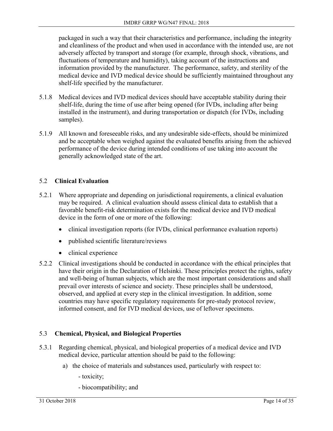packaged in such a way that their characteristics and performance, including the integrity and cleanliness of the product and when used in accordance with the intended use, are not adversely affected by transport and storage (for example, through shock, vibrations, and fluctuations of temperature and humidity), taking account of the instructions and information provided by the manufacturer. The performance, safety, and sterility of the medical device and IVD medical device should be sufficiently maintained throughout any shelf-life specified by the manufacturer.

- 5.1.8 Medical devices and IVD medical devices should have acceptable stability during their shelf-life, during the time of use after being opened (for IVDs, including after being installed in the instrument), and during transportation or dispatch (for IVDs, including samples).
- 5.1.9 All known and foreseeable risks, and any undesirable side-effects, should be minimized and be acceptable when weighed against the evaluated benefits arising from the achieved performance of the device during intended conditions of use taking into account the generally acknowledged state of the art.

## 5.2 **Clinical Evaluation**

- 5.2.1 Where appropriate and depending on jurisdictional requirements, a clinical evaluation may be required. A clinical evaluation should assess clinical data to establish that a favorable benefit-risk determination exists for the medical device and IVD medical device in the form of one or more of the following:
	- clinical investigation reports (for IVDs, clinical performance evaluation reports)
	- published scientific literature/reviews
	- clinical experience
- 5.2.2 Clinical investigations should be conducted in accordance with the ethical principles that have their origin in the Declaration of Helsinki. These principles protect the rights, safety and well-being of human subjects, which are the most important considerations and shall prevail over interests of science and society. These principles shall be understood, observed, and applied at every step in the clinical investigation. In addition, some countries may have specific regulatory requirements for pre-study protocol review, informed consent, and for IVD medical devices, use of leftover specimens.

## 5.3 **Chemical, Physical, and Biological Properties**

- 5.3.1 Regarding chemical, physical, and biological properties of a medical device and IVD medical device, particular attention should be paid to the following:
	- a) the choice of materials and substances used, particularly with respect to:
		- toxicity;
		- biocompatibility; and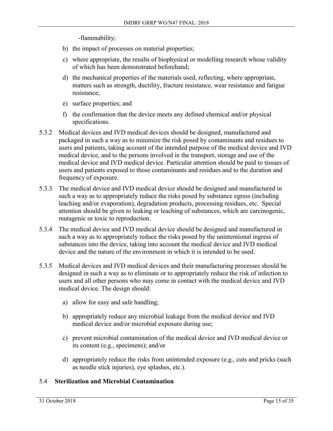-flammability;

- b) the impact of processes on material properties;
- c) where appropriate, the results of biophysical or modelling research whose validity of which has been demonstrated beforehand;
- d) the mechanical properties of the materials used, reflecting, where appropriate, matters such as strength, ductility, fracture resistance, wear resistance and fatigue resistance;
- e) surface properties; and
- f) the confirmation that the device meets any defined chemical and/or physical specifications.
- 5.3.2 Medical devices and IVD medical devices should be designed, manufactured and packaged in such a way as to minimize the risk posed by contaminants and residues to users and patients, taking account of the intended purpose of the medical device and IVD medical device, and to the persons involved in the transport, storage and use of the medical device and IVD medical device. Particular attention should be paid to tissues of users and patients exposed to those contaminants and residues and to the duration and frequency of exposure.
- 5.3.3 The medical device and IVD medical device should be designed and manufactured in such a way as to appropriately reduce the risks posed by substance egress (including leaching and/or evaporation), degradation products, processing residues, etc. Special attention should be given to leaking or leaching of substances, which are carcinogenic, mutagenic or toxic to reproduction.
- 5.3.4 The medical device and IVD medical device should be designed and manufactured in such a way as to appropriately reduce the risks posed by the unintentional ingress of substances into the device, taking into account the medical device and IVD medical device and the nature of the environment in which it is intended to be used.
- 5.3.5 Medical devices and IVD medical devices and their manufacturing processes should be designed in such a way as to eliminate or to appropriately reduce the risk of infection to users and all other persons who may come in contact with the medical device and IVD medical device. The design should:
	- a) allow for easy and safe handling;
	- b) appropriately reduce any microbial leakage from the medical device and IVD medical device and/or microbial exposure during use;
	- c) prevent microbial contamination of the medical device and IVD medical device or its content (e.g., specimens); and/or
	- d) appropriately reduce the risks from unintended exposure (e.g., cuts and pricks (such as needle stick injuries), eye splashes, etc.).

#### 5.4 **Sterilization and Microbial Contamination**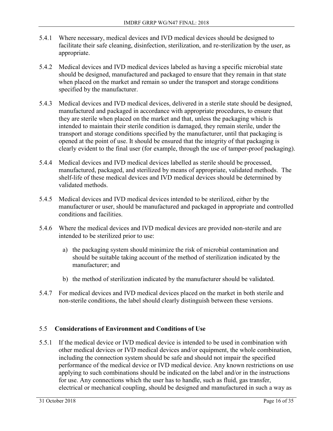- 5.4.1 Where necessary, medical devices and IVD medical devices should be designed to facilitate their safe cleaning, disinfection, sterilization, and re-sterilization by the user, as appropriate.
- 5.4.2 Medical devices and IVD medical devices labeled as having a specific microbial state should be designed, manufactured and packaged to ensure that they remain in that state when placed on the market and remain so under the transport and storage conditions specified by the manufacturer.
- 5.4.3 Medical devices and IVD medical devices, delivered in a sterile state should be designed, manufactured and packaged in accordance with appropriate procedures, to ensure that they are sterile when placed on the market and that, unless the packaging which is intended to maintain their sterile condition is damaged, they remain sterile, under the transport and storage conditions specified by the manufacturer, until that packaging is opened at the point of use. It should be ensured that the integrity of that packaging is clearly evident to the final user (for example, through the use of tamper-proof packaging).
- 5.4.4 Medical devices and IVD medical devices labelled as sterile should be processed, manufactured, packaged, and sterilized by means of appropriate, validated methods. The shelf-life of these medical devices and IVD medical devices should be determined by validated methods.
- 5.4.5 Medical devices and IVD medical devices intended to be sterilized, either by the manufacturer or user, should be manufactured and packaged in appropriate and controlled conditions and facilities.
- 5.4.6 Where the medical devices and IVD medical devices are provided non-sterile and are intended to be sterilized prior to use:
	- a) the packaging system should minimize the risk of microbial contamination and should be suitable taking account of the method of sterilization indicated by the manufacturer; and
	- b) the method of sterilization indicated by the manufacturer should be validated.
- 5.4.7 For medical devices and IVD medical devices placed on the market in both sterile and non-sterile conditions, the label should clearly distinguish between these versions.

## 5.5 **Considerations of Environment and Conditions of Use**

5.5.1 If the medical device or IVD medical device is intended to be used in combination with other medical devices or IVD medical devices and/or equipment, the whole combination, including the connection system should be safe and should not impair the specified performance of the medical device or IVD medical device. Any known restrictions on use applying to such combinations should be indicated on the label and/or in the instructions for use. Any connections which the user has to handle, such as fluid, gas transfer, electrical or mechanical coupling, should be designed and manufactured in such a way as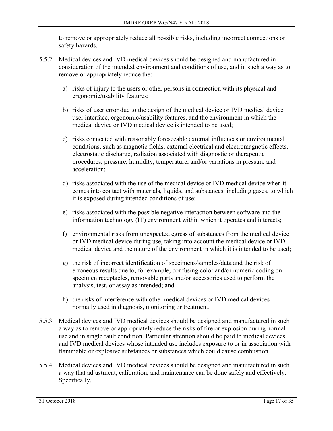to remove or appropriately reduce all possible risks, including incorrect connections or safety hazards.

- 5.5.2 Medical devices and IVD medical devices should be designed and manufactured in consideration of the intended environment and conditions of use, and in such a way as to remove or appropriately reduce the:
	- a) risks of injury to the users or other persons in connection with its physical and ergonomic/usability features;
	- b) risks of user error due to the design of the medical device or IVD medical device user interface, ergonomic/usability features, and the environment in which the medical device or IVD medical device is intended to be used;
	- c) risks connected with reasonably foreseeable external influences or environmental conditions, such as magnetic fields, external electrical and electromagnetic effects, electrostatic discharge, radiation associated with diagnostic or therapeutic procedures, pressure, humidity, temperature, and/or variations in pressure and acceleration;
	- d) risks associated with the use of the medical device or IVD medical device when it comes into contact with materials, liquids, and substances, including gases, to which it is exposed during intended conditions of use;
	- e) risks associated with the possible negative interaction between software and the information technology (IT) environment within which it operates and interacts;
	- f) environmental risks from unexpected egress of substances from the medical device or IVD medical device during use, taking into account the medical device or IVD medical device and the nature of the environment in which it is intended to be used;
	- g) the risk of incorrect identification of specimens/samples/data and the risk of erroneous results due to, for example, confusing color and/or numeric coding on specimen receptacles, removable parts and/or accessories used to perform the analysis, test, or assay as intended; and
	- h) the risks of interference with other medical devices or IVD medical devices normally used in diagnosis, monitoring or treatment.
- 5.5.3 Medical devices and IVD medical devices should be designed and manufactured in such a way as to remove or appropriately reduce the risks of fire or explosion during normal use and in single fault condition. Particular attention should be paid to medical devices and IVD medical devices whose intended use includes exposure to or in association with flammable or explosive substances or substances which could cause combustion.
- 5.5.4 Medical devices and IVD medical devices should be designed and manufactured in such a way that adjustment, calibration, and maintenance can be done safely and effectively. Specifically,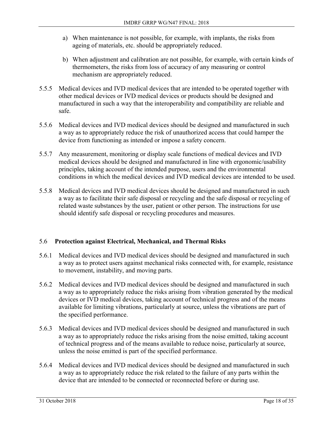- a) When maintenance is not possible, for example, with implants, the risks from ageing of materials, etc. should be appropriately reduced.
- b) When adjustment and calibration are not possible, for example, with certain kinds of thermometers, the risks from loss of accuracy of any measuring or control mechanism are appropriately reduced.
- 5.5.5 Medical devices and IVD medical devices that are intended to be operated together with other medical devices or IVD medical devices or products should be designed and manufactured in such a way that the interoperability and compatibility are reliable and safe.
- 5.5.6 Medical devices and IVD medical devices should be designed and manufactured in such a way as to appropriately reduce the risk of unauthorized access that could hamper the device from functioning as intended or impose a safety concern.
- 5.5.7 Any measurement, monitoring or display scale functions of medical devices and IVD medical devices should be designed and manufactured in line with ergonomic/usability principles, taking account of the intended purpose, users and the environmental conditions in which the medical devices and IVD medical devices are intended to be used.
- 5.5.8 Medical devices and IVD medical devices should be designed and manufactured in such a way as to facilitate their safe disposal or recycling and the safe disposal or recycling of related waste substances by the user, patient or other person. The instructions for use should identify safe disposal or recycling procedures and measures.

## 5.6 **Protection against Electrical, Mechanical, and Thermal Risks**

- 5.6.1 Medical devices and IVD medical devices should be designed and manufactured in such a way as to protect users against mechanical risks connected with, for example, resistance to movement, instability, and moving parts.
- 5.6.2 Medical devices and IVD medical devices should be designed and manufactured in such a way as to appropriately reduce the risks arising from vibration generated by the medical devices or IVD medical devices, taking account of technical progress and of the means available for limiting vibrations, particularly at source, unless the vibrations are part of the specified performance.
- 5.6.3 Medical devices and IVD medical devices should be designed and manufactured in such a way as to appropriately reduce the risks arising from the noise emitted, taking account of technical progress and of the means available to reduce noise, particularly at source, unless the noise emitted is part of the specified performance.
- 5.6.4 Medical devices and IVD medical devices should be designed and manufactured in such a way as to appropriately reduce the risk related to the failure of any parts within the device that are intended to be connected or reconnected before or during use.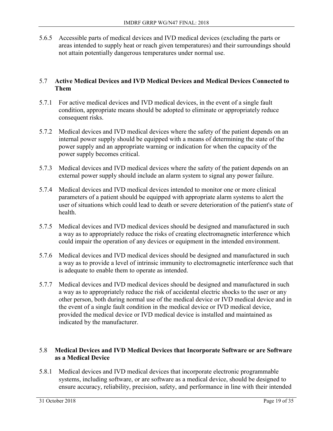5.6.5 Accessible parts of medical devices and IVD medical devices (excluding the parts or areas intended to supply heat or reach given temperatures) and their surroundings should not attain potentially dangerous temperatures under normal use.

#### 5.7 **Active Medical Devices and IVD Medical Devices and Medical Devices Connected to Them**

- 5.7.1 For active medical devices and IVD medical devices, in the event of a single fault condition, appropriate means should be adopted to eliminate or appropriately reduce consequent risks.
- 5.7.2 Medical devices and IVD medical devices where the safety of the patient depends on an internal power supply should be equipped with a means of determining the state of the power supply and an appropriate warning or indication for when the capacity of the power supply becomes critical.
- 5.7.3 Medical devices and IVD medical devices where the safety of the patient depends on an external power supply should include an alarm system to signal any power failure.
- 5.7.4 Medical devices and IVD medical devices intended to monitor one or more clinical parameters of a patient should be equipped with appropriate alarm systems to alert the user of situations which could lead to death or severe deterioration of the patient's state of health.
- 5.7.5 Medical devices and IVD medical devices should be designed and manufactured in such a way as to appropriately reduce the risks of creating electromagnetic interference which could impair the operation of any devices or equipment in the intended environment.
- 5.7.6 Medical devices and IVD medical devices should be designed and manufactured in such a way as to provide a level of intrinsic immunity to electromagnetic interference such that is adequate to enable them to operate as intended.
- 5.7.7 Medical devices and IVD medical devices should be designed and manufactured in such a way as to appropriately reduce the risk of accidental electric shocks to the user or any other person, both during normal use of the medical device or IVD medical device and in the event of a single fault condition in the medical device or IVD medical device, provided the medical device or IVD medical device is installed and maintained as indicated by the manufacturer.

#### 5.8 **Medical Devices and IVD Medical Devices that Incorporate Software or are Software as a Medical Device**

5.8.1 Medical devices and IVD medical devices that incorporate electronic programmable systems, including software, or are software as a medical device, should be designed to ensure accuracy, reliability, precision, safety, and performance in line with their intended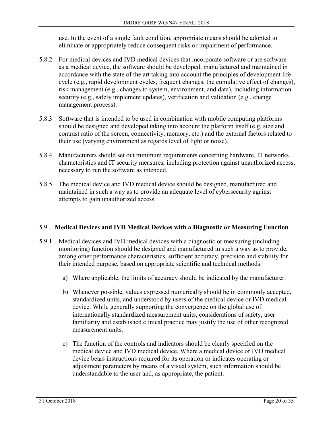use. In the event of a single fault condition, appropriate means should be adopted to eliminate or appropriately reduce consequent risks or impairment of performance.

- 5.8.2 For medical devices and IVD medical devices that incorporate software or are software as a medical device, the software should be developed, manufactured and maintained in accordance with the state of the art taking into account the principles of development life cycle (e.g., rapid development cycles, frequent changes, the cumulative effect of changes), risk management (e.g., changes to system, environment, and data), including information security (e.g., safely implement updates), verification and validation (e.g., change management process).
- 5.8.3 Software that is intended to be used in combination with mobile computing platforms should be designed and developed taking into account the platform itself (e.g. size and contrast ratio of the screen, connectivity, memory, etc.) and the external factors related to their use (varying environment as regards level of light or noise).
- 5.8.4 Manufacturers should set out minimum requirements concerning hardware, IT networks characteristics and IT security measures, including protection against unauthorized access, necessary to run the software as intended.
- 5.8.5 The medical device and IVD medical device should be designed, manufactured and maintained in such a way as to provide an adequate level of cybersecurity against attempts to gain unauthorized access.

#### 5.9 **Medical Devices and IVD Medical Devices with a Diagnostic or Measuring Function**

- 5.9.1 Medical devices and IVD medical devices with a diagnostic or measuring (including monitoring) function should be designed and manufactured in such a way as to provide, among other performance characteristics, sufficient accuracy, precision and stability for their intended purpose, based on appropriate scientific and technical methods.
	- a) Where applicable, the limits of accuracy should be indicated by the manufacturer.
	- b) Whenever possible, values expressed numerically should be in commonly accepted, standardized units, and understood by users of the medical device or IVD medical device. While generally supporting the convergence on the global use of internationally standardized measurement units, considerations of safety, user familiarity and established clinical practice may justify the use of other recognized measurement units.
	- c) The function of the controls and indicators should be clearly specified on the medical device and IVD medical device. Where a medical device or IVD medical device bears instructions required for its operation or indicates operating or adjustment parameters by means of a visual system, such information should be understandable to the user and, as appropriate, the patient.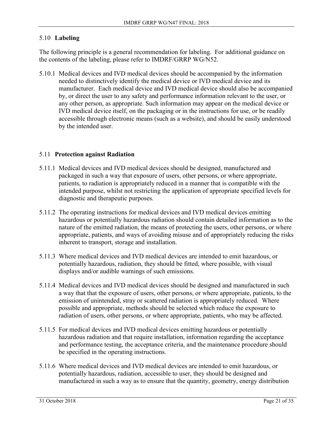### 5.10 **Labeling**

The following principle is a general recommendation for labeling. For additional guidance on the contents of the labeling, please refer to IMDRF/GRRP WG/N52.

5.10.1 Medical devices and IVD medical devices should be accompanied by the information needed to distinctively identify the medical device or IVD medical device and its manufacturer. Each medical device and IVD medical device should also be accompanied by, or direct the user to any safety and performance information relevant to the user, or any other person, as appropriate. Such information may appear on the medical device or IVD medical device itself, on the packaging or in the instructions for use, or be readily accessible through electronic means (such as a website), and should be easily understood by the intended user.

#### 5.11 **Protection against Radiation**

- 5.11.1 Medical devices and IVD medical devices should be designed, manufactured and packaged in such a way that exposure of users, other persons, or where appropriate, patients, to radiation is appropriately reduced in a manner that is compatible with the intended purpose, whilst not restricting the application of appropriate specified levels for diagnostic and therapeutic purposes.
- 5.11.2 The operating instructions for medical devices and IVD medical devices emitting hazardous or potentially hazardous radiation should contain detailed information as to the nature of the emitted radiation, the means of protecting the users, other persons, or where appropriate, patients, and ways of avoiding misuse and of appropriately reducing the risks inherent to transport, storage and installation.
- 5.11.3 Where medical devices and IVD medical devices are intended to emit hazardous, or potentially hazardous, radiation, they should be fitted, where possible, with visual displays and/or audible warnings of such emissions.
- 5.11.4 Medical devices and IVD medical devices should be designed and manufactured in such a way that that the exposure of users, other persons, or where appropriate, patients, to the emission of unintended, stray or scattered radiation is appropriately reduced. Where possible and appropriate, methods should be selected which reduce the exposure to radiation of users, other persons, or where appropriate, patients, who may be affected.
- 5.11.5 For medical devices and IVD medical devices emitting hazardous or potentially hazardous radiation and that require installation, information regarding the acceptance and performance testing, the acceptance criteria, and the maintenance procedure should be specified in the operating instructions.
- 5.11.6 Where medical devices and IVD medical devices are intended to emit hazardous, or potentially hazardous, radiation, accessible to user, they should be designed and manufactured in such a way as to ensure that the quantity, geometry, energy distribution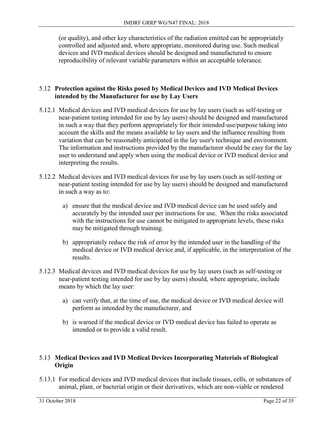(or quality), and other key characteristics of the radiation emitted can be appropriately controlled and adjusted and, where appropriate, monitored during use. Such medical devices and IVD medical devices should be designed and manufactured to ensure reproducibility of relevant variable parameters within an acceptable tolerance.

#### 5.12 **Protection against the Risks posed by Medical Devices and IVD Medical Devices intended by the Manufacturer for use by Lay Users**

- 5.12.1 Medical devices and IVD medical devices for use by lay users (such as self-testing or near-patient testing intended for use by lay users) should be designed and manufactured in such a way that they perform appropriately for their intended use/purpose taking into account the skills and the means available to lay users and the influence resulting from variation that can be reasonably anticipated in the lay user's technique and environment. The information and instructions provided by the manufacturer should be easy for the lay user to understand and apply when using the medical device or IVD medical device and interpreting the results.
- 5.12.2 Medical devices and IVD medical devices for use by lay users (such as self-testing or near-patient testing intended for use by lay users) should be designed and manufactured in such a way as to:
	- a) ensure that the medical device and IVD medical device can be used safely and accurately by the intended user per instructions for use. When the risks associated with the instructions for use cannot be mitigated to appropriate levels, these risks may be mitigated through training.
	- b) appropriately reduce the risk of error by the intended user in the handling of the medical device or IVD medical device and, if applicable, in the interpretation of the results.
- 5.12.3 Medical devices and IVD medical devices for use by lay users (such as self-testing or near-patient testing intended for use by lay users) should, where appropriate, include means by which the lay user:
	- a) can verify that, at the time of use, the medical device or IVD medical device will perform as intended by the manufacturer, and
	- b) is warned if the medical device or IVD medical device has failed to operate as intended or to provide a valid result.

#### 5.13 **Medical Devices and IVD Medical Devices Incorporating Materials of Biological Origin**

5.13.1 For medical devices and IVD medical devices that include tissues, cells, or substances of animal, plant, or bacterial origin or their derivatives, which are non-viable or rendered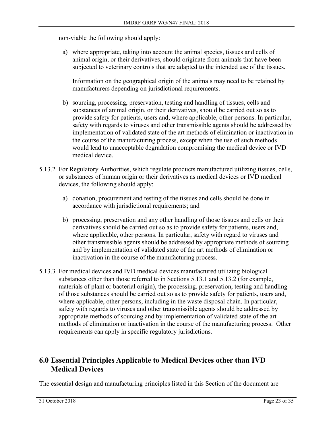non-viable the following should apply:

a) where appropriate, taking into account the animal species, tissues and cells of animal origin, or their derivatives, should originate from animals that have been subjected to veterinary controls that are adapted to the intended use of the tissues.

Information on the geographical origin of the animals may need to be retained by manufacturers depending on jurisdictional requirements.

- b) sourcing, processing, preservation, testing and handling of tissues, cells and substances of animal origin, or their derivatives, should be carried out so as to provide safety for patients, users and, where applicable, other persons. In particular, safety with regards to viruses and other transmissible agents should be addressed by implementation of validated state of the art methods of elimination or inactivation in the course of the manufacturing process, except when the use of such methods would lead to unacceptable degradation compromising the medical device or IVD medical device.
- 5.13.2 For Regulatory Authorities, which regulate products manufactured utilizing tissues, cells, or substances of human origin or their derivatives as medical devices or IVD medical devices, the following should apply:
	- a) donation, procurement and testing of the tissues and cells should be done in accordance with jurisdictional requirements; and
	- b) processing, preservation and any other handling of those tissues and cells or their derivatives should be carried out so as to provide safety for patients, users and, where applicable, other persons. In particular, safety with regard to viruses and other transmissible agents should be addressed by appropriate methods of sourcing and by implementation of validated state of the art methods of elimination or inactivation in the course of the manufacturing process.
- 5.13.3 For medical devices and IVD medical devices manufactured utilizing biological substances other than those referred to in Sections 5.13.1 and 5.13.2 (for example, materials of plant or bacterial origin), the processing, preservation, testing and handling of those substances should be carried out so as to provide safety for patients, users and, where applicable, other persons, including in the waste disposal chain. In particular, safety with regards to viruses and other transmissible agents should be addressed by appropriate methods of sourcing and by implementation of validated state of the art methods of elimination or inactivation in the course of the manufacturing process. Other requirements can apply in specific regulatory jurisdictions.

# **6.0 Essential Principles Applicable to Medical Devices other than IVD Medical Devices**

The essential design and manufacturing principles listed in this Section of the document are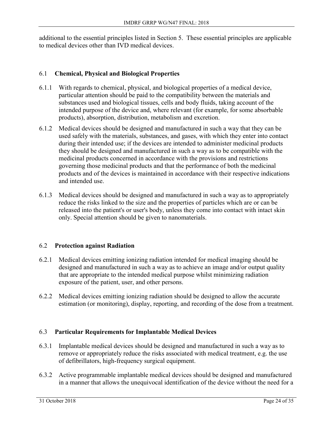additional to the essential principles listed in Section 5. These essential principles are applicable to medical devices other than IVD medical devices.

## 6.1 **Chemical, Physical and Biological Properties**

- 6.1.1 With regards to chemical, physical, and biological properties of a medical device, particular attention should be paid to the compatibility between the materials and substances used and biological tissues, cells and body fluids, taking account of the intended purpose of the device and, where relevant (for example, for some absorbable products), absorption, distribution, metabolism and excretion.
- 6.1.2 Medical devices should be designed and manufactured in such a way that they can be used safely with the materials, substances, and gases, with which they enter into contact during their intended use; if the devices are intended to administer medicinal products they should be designed and manufactured in such a way as to be compatible with the medicinal products concerned in accordance with the provisions and restrictions governing those medicinal products and that the performance of both the medicinal products and of the devices is maintained in accordance with their respective indications and intended use.
- 6.1.3 Medical devices should be designed and manufactured in such a way as to appropriately reduce the risks linked to the size and the properties of particles which are or can be released into the patient's or user's body, unless they come into contact with intact skin only. Special attention should be given to nanomaterials.

## 6.2 **Protection against Radiation**

- 6.2.1 Medical devices emitting ionizing radiation intended for medical imaging should be designed and manufactured in such a way as to achieve an image and/or output quality that are appropriate to the intended medical purpose whilst minimizing radiation exposure of the patient, user, and other persons.
- 6.2.2 Medical devices emitting ionizing radiation should be designed to allow the accurate estimation (or monitoring), display, reporting, and recording of the dose from a treatment.

## 6.3 **Particular Requirements for Implantable Medical Devices**

- 6.3.1 Implantable medical devices should be designed and manufactured in such a way as to remove or appropriately reduce the risks associated with medical treatment, e.g. the use of defibrillators, high-frequency surgical equipment.
- 6.3.2 Active programmable implantable medical devices should be designed and manufactured in a manner that allows the unequivocal identification of the device without the need for a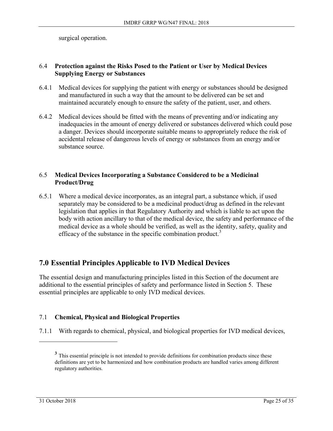surgical operation.

#### 6.4 **Protection against the Risks Posed to the Patient or User by Medical Devices Supplying Energy or Substances**

- 6.4.1 Medical devices for supplying the patient with energy or substances should be designed and manufactured in such a way that the amount to be delivered can be set and maintained accurately enough to ensure the safety of the patient, user, and others.
- 6.4.2 Medical devices should be fitted with the means of preventing and/or indicating any inadequacies in the amount of energy delivered or substances delivered which could pose a danger. Devices should incorporate suitable means to appropriately reduce the risk of accidental release of dangerous levels of energy or substances from an energy and/or substance source.

#### 6.5 **Medical Devices Incorporating a Substance Considered to be a Medicinal Product/Drug**

6.5.1 Where a medical device incorporates, as an integral part, a substance which, if used separately may be considered to be a medicinal product/drug as defined in the relevant legislation that applies in that Regulatory Authority and which is liable to act upon the body with action ancillary to that of the medical device, the safety and performance of the medical device as a whole should be verified, as well as the identity, safety, quality and efficacy of the substance in the specific combination product.<sup>3</sup>

# **7.0 Essential Principles Applicable to IVD Medical Devices**

The essential design and manufacturing principles listed in this Section of the document are additional to the essential principles of safety and performance listed in Section 5. These essential principles are applicable to only IVD medical devices.

## 7.1 **Chemical, Physical and Biological Properties**

7.1.1 With regards to chemical, physical, and biological properties for IVD medical devices,

 $\overline{a}$ 

<sup>&</sup>lt;sup>3</sup> This essential principle is not intended to provide definitions for combination products since these definitions are yet to be harmonized and how combination products are handled varies among different regulatory authorities.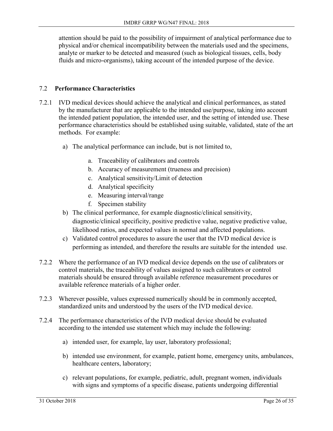attention should be paid to the possibility of impairment of analytical performance due to physical and/or chemical incompatibility between the materials used and the specimens, analyte or marker to be detected and measured (such as biological tissues, cells, body fluids and micro-organisms), taking account of the intended purpose of the device.

#### 7.2 **Performance Characteristics**

- 7.2.1 IVD medical devices should achieve the analytical and clinical performances, as stated by the manufacturer that are applicable to the intended use/purpose, taking into account the intended patient population, the intended user, and the setting of intended use. These performance characteristics should be established using suitable, validated, state of the art methods. For example:
	- a) The analytical performance can include, but is not limited to,
		- a. Traceability of calibrators and controls
		- b. Accuracy of measurement (trueness and precision)
		- c. Analytical sensitivity/Limit of detection
		- d. Analytical specificity
		- e. Measuring interval/range
		- f. Specimen stability
	- b) The clinical performance, for example diagnostic/clinical sensitivity, diagnostic/clinical specificity, positive predictive value, negative predictive value, likelihood ratios, and expected values in normal and affected populations.
	- c) Validated control procedures to assure the user that the IVD medical device is performing as intended, and therefore the results are suitable for the intended use.
- 7.2.2 Where the performance of an IVD medical device depends on the use of calibrators or control materials, the traceability of values assigned to such calibrators or control materials should be ensured through available reference measurement procedures or available reference materials of a higher order.
- 7.2.3 Wherever possible, values expressed numerically should be in commonly accepted, standardized units and understood by the users of the IVD medical device.
- 7.2.4 The performance characteristics of the IVD medical device should be evaluated according to the intended use statement which may include the following:
	- a) intended user, for example, lay user, laboratory professional;
	- b) intended use environment, for example, patient home, emergency units, ambulances, healthcare centers, laboratory;
	- c) relevant populations, for example, pediatric, adult, pregnant women, individuals with signs and symptoms of a specific disease, patients undergoing differential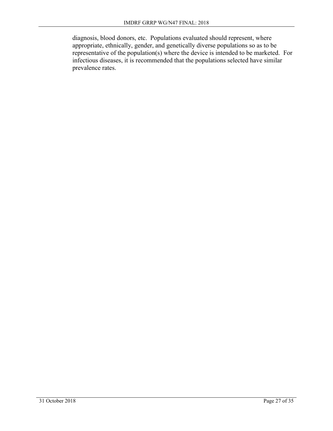diagnosis, blood donors, etc. Populations evaluated should represent, where appropriate, ethnically, gender, and genetically diverse populations so as to be representative of the population(s) where the device is intended to be marketed. For infectious diseases, it is recommended that the populations selected have similar prevalence rates.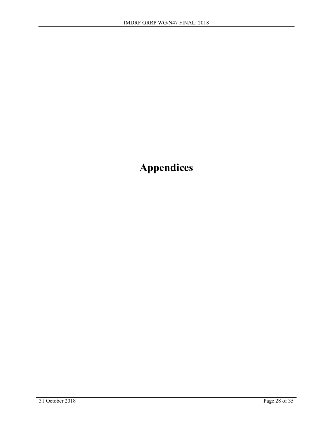**Appendices**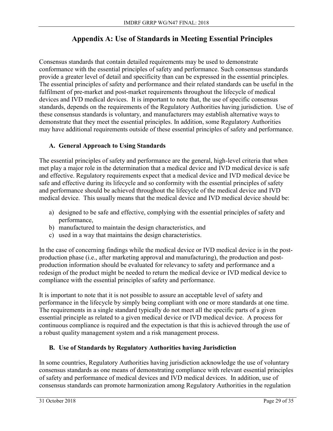# **Appendix A: Use of Standards in Meeting Essential Principles**

Consensus standards that contain detailed requirements may be used to demonstrate conformance with the essential principles of safety and performance. Such consensus standards provide a greater level of detail and specificity than can be expressed in the essential principles. The essential principles of safety and performance and their related standards can be useful in the fulfilment of pre-market and post-market requirements throughout the lifecycle of medical devices and IVD medical devices. It is important to note that, the use of specific consensus standards, depends on the requirements of the Regulatory Authorities having jurisdiction. Use of these consensus standards is voluntary, and manufacturers may establish alternative ways to demonstrate that they meet the essential principles. In addition, some Regulatory Authorities may have additional requirements outside of these essential principles of safety and performance.

## **A. General Approach to Using Standards**

The essential principles of safety and performance are the general, high-level criteria that when met play a major role in the determination that a medical device and IVD medical device is safe and effective. Regulatory requirements expect that a medical device and IVD medical device be safe and effective during its lifecycle and so conformity with the essential principles of safety and performance should be achieved throughout the lifecycle of the medical device and IVD medical device. This usually means that the medical device and IVD medical device should be:

- a) designed to be safe and effective, complying with the essential principles of safety and performance,
- b) manufactured to maintain the design characteristics, and
- c) used in a way that maintains the design characteristics.

In the case of concerning findings while the medical device or IVD medical device is in the postproduction phase (i.e., after marketing approval and manufacturing), the production and postproduction information should be evaluated for relevancy to safety and performance and a redesign of the product might be needed to return the medical device or IVD medical device to compliance with the essential principles of safety and performance.

It is important to note that it is not possible to assure an acceptable level of safety and performance in the lifecycle by simply being compliant with one or more standards at one time. The requirements in a single standard typically do not meet all the specific parts of a given essential principle as related to a given medical device or IVD medical device. A process for continuous compliance is required and the expectation is that this is achieved through the use of a robust quality management system and a risk management process.

## **B. Use of Standards by Regulatory Authorities having Jurisdiction**

In some countries, Regulatory Authorities having jurisdiction acknowledge the use of voluntary consensus standards as one means of demonstrating compliance with relevant essential principles of safety and performance of medical devices and IVD medical devices. In addition, use of consensus standards can promote harmonization among Regulatory Authorities in the regulation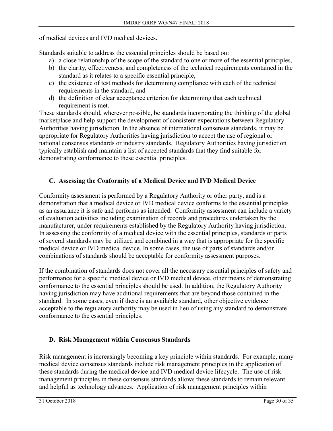of medical devices and IVD medical devices.

Standards suitable to address the essential principles should be based on:

- a) a close relationship of the scope of the standard to one or more of the essential principles,
- b) the clarity, effectiveness, and completeness of the technical requirements contained in the standard as it relates to a specific essential principle,
- c) the existence of test methods for determining compliance with each of the technical requirements in the standard, and
- d) the definition of clear acceptance criterion for determining that each technical requirement is met.

These standards should, wherever possible, be standards incorporating the thinking of the global marketplace and help support the development of consistent expectations between Regulatory Authorities having jurisdiction. In the absence of international consensus standards, it may be appropriate for Regulatory Authorities having jurisdiction to accept the use of regional or national consensus standards or industry standards. Regulatory Authorities having jurisdiction typically establish and maintain a list of accepted standards that they find suitable for demonstrating conformance to these essential principles.

## **C. Assessing the Conformity of a Medical Device and IVD Medical Device**

Conformity assessment is performed by a Regulatory Authority or other party, and is a demonstration that a medical device or IVD medical device conforms to the essential principles as an assurance it is safe and performs as intended. Conformity assessment can include a variety of evaluation activities including examination of records and procedures undertaken by the manufacturer, under requirements established by the Regulatory Authority having jurisdiction. In assessing the conformity of a medical device with the essential principles, standards or parts of several standards may be utilized and combined in a way that is appropriate for the specific medical device or IVD medical device. In some cases, the use of parts of standards and/or combinations of standards should be acceptable for conformity assessment purposes.

If the combination of standards does not cover all the necessary essential principles of safety and performance for a specific medical device or IVD medical device, other means of demonstrating conformance to the essential principles should be used. In addition, the Regulatory Authority having jurisdiction may have additional requirements that are beyond those contained in the standard. In some cases, even if there is an available standard, other objective evidence acceptable to the regulatory authority may be used in lieu of using any standard to demonstrate conformance to the essential principles.

## **D. Risk Management within Consensus Standards**

Risk management is increasingly becoming a key principle within standards. For example, many medical device consensus standards include risk management principles in the application of these standards during the medical device and IVD medical device lifecycle. The use of risk management principles in these consensus standards allows these standards to remain relevant and helpful as technology advances. Application of risk management principles within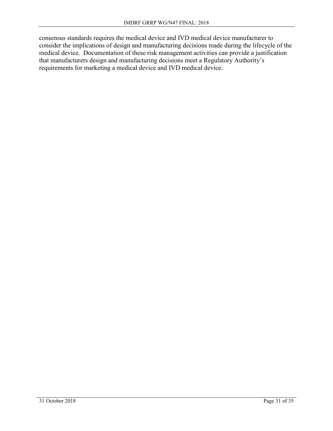consensus standards requires the medical device and IVD medical device manufacturer to consider the implications of design and manufacturing decisions made during the lifecycle of the medical device. Documentation of these risk management activities can provide a justification that manufacturers design and manufacturing decisions meet a Regulatory Authority's requirements for marketing a medical device and IVD medical device.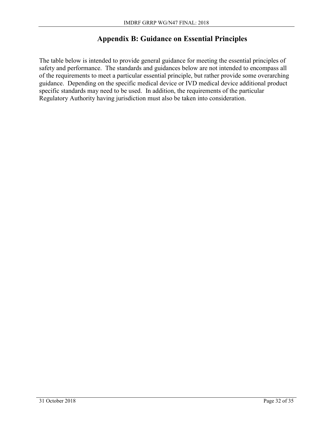## **Appendix B: Guidance on Essential Principles**

The table below is intended to provide general guidance for meeting the essential principles of safety and performance. The standards and guidances below are not intended to encompass all of the requirements to meet a particular essential principle, but rather provide some overarching guidance. Depending on the specific medical device or IVD medical device additional product specific standards may need to be used. In addition, the requirements of the particular Regulatory Authority having jurisdiction must also be taken into consideration.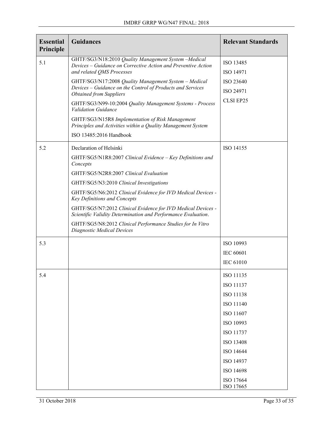| <b>Essential</b><br>Principle | <b>Guidances</b>                                                                                                                                      | <b>Relevant Standards</b> |
|-------------------------------|-------------------------------------------------------------------------------------------------------------------------------------------------------|---------------------------|
| 5.1                           | GHTF/SG3/N18:2010 Quality Management System -Medical<br>Devices – Guidance on Corrective Action and Preventive Action<br>and related QMS Processes    | ISO 13485<br>ISO 14971    |
|                               | GHTF/SG3/N17:2008 Quality Management System - Medical<br>Devices - Guidance on the Control of Products and Services<br><b>Obtained from Suppliers</b> | ISO 23640<br>ISO 24971    |
|                               | GHTF/SG3/N99-10:2004 Quality Management Systems - Process<br><b>Validation Guidance</b>                                                               | CLSI EP25                 |
|                               | GHTF/SG3/N15R8 Implementation of Risk Management<br>Principles and Activities within a Quality Management System<br>ISO 13485:2016 Handbook           |                           |
| 5.2                           | Declaration of Helsinki<br>GHTF/SG5/N1R8:2007 Clinical Evidence - Key Definitions and<br>Concepts                                                     | ISO 14155                 |
|                               | GHTF/SG5/N2R8:2007 Clinical Evaluation<br>GHTF/SG5/N3:2010 Clinical Investigations                                                                    |                           |
|                               | GHTF/SG5/N6:2012 Clinical Evidence for IVD Medical Devices -<br>Key Definitions and Concepts                                                          |                           |
|                               | GHTF/SG5/N7:2012 Clinical Evidence for IVD Medical Devices -<br>Scientific Validity Determination and Performance Evaluation.                         |                           |
|                               | GHTF/SG5/N8:2012 Clinical Performance Studies for In Vitro<br>Diagnostic Medical Devices                                                              |                           |
| 5.3                           |                                                                                                                                                       | ISO 10993                 |
|                               |                                                                                                                                                       | <b>IEC 60601</b>          |
|                               |                                                                                                                                                       | <b>IEC 61010</b>          |
| 5.4                           |                                                                                                                                                       | ISO 11135                 |
|                               |                                                                                                                                                       | ISO 11137                 |
|                               |                                                                                                                                                       | ISO 11138                 |
|                               |                                                                                                                                                       | ISO 11140                 |
|                               |                                                                                                                                                       | ISO 11607                 |
|                               |                                                                                                                                                       | ISO 10993                 |
|                               |                                                                                                                                                       | ISO 11737                 |
|                               |                                                                                                                                                       | ISO 13408<br>ISO 14644    |
|                               |                                                                                                                                                       | ISO 14937                 |
|                               |                                                                                                                                                       | ISO 14698                 |
|                               |                                                                                                                                                       | ISO 17664<br>ISO 17665    |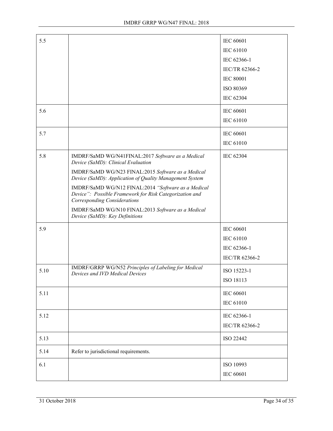| 5.5  |                                                                                                                                                       | <b>IEC 60601</b> |
|------|-------------------------------------------------------------------------------------------------------------------------------------------------------|------------------|
|      |                                                                                                                                                       | <b>IEC 61010</b> |
|      |                                                                                                                                                       | IEC 62366-1      |
|      |                                                                                                                                                       | IEC/TR 62366-2   |
|      |                                                                                                                                                       | <b>IEC 80001</b> |
|      |                                                                                                                                                       | ISO 80369        |
|      |                                                                                                                                                       | IEC 62304        |
| 5.6  |                                                                                                                                                       | <b>IEC 60601</b> |
|      |                                                                                                                                                       | IEC 61010        |
| 5.7  |                                                                                                                                                       | <b>IEC 60601</b> |
|      |                                                                                                                                                       | <b>IEC 61010</b> |
| 5.8  | IMDRF/SaMD WG/N41FINAL:2017 Software as a Medical<br>Device (SaMD): Clinical Evaluation                                                               | IEC 62304        |
|      | IMDRF/SaMD WG/N23 FINAL:2015 Software as a Medical<br>Device (SaMD): Application of Quality Management System                                         |                  |
|      | IMDRF/SaMD WG/N12 FINAL:2014 "Software as a Medical<br>Device": Possible Framework for Risk Categorization and<br><b>Corresponding Considerations</b> |                  |
|      | IMDRF/SaMD WG/N10 FINAL:2013 Software as a Medical<br>Device (SaMD): Key Definitions                                                                  |                  |
| 5.9  |                                                                                                                                                       | <b>IEC 60601</b> |
|      |                                                                                                                                                       | <b>IEC 61010</b> |
|      |                                                                                                                                                       | IEC 62366-1      |
|      |                                                                                                                                                       | IEC/TR 62366-2   |
| 5.10 | IMDRF/GRRP WG/N52 Principles of Labeling for Medical<br>Devices and IVD Medical Devices                                                               | ISO 15223-1      |
|      |                                                                                                                                                       | ISO 18113        |
| 5.11 |                                                                                                                                                       | <b>IEC 60601</b> |
|      |                                                                                                                                                       | IEC 61010        |
| 5.12 |                                                                                                                                                       | IEC 62366-1      |
|      |                                                                                                                                                       | IEC/TR 62366-2   |
| 5.13 |                                                                                                                                                       | ISO 22442        |
| 5.14 | Refer to jurisdictional requirements.                                                                                                                 |                  |
| 6.1  |                                                                                                                                                       | ISO 10993        |
|      |                                                                                                                                                       | IEC 60601        |